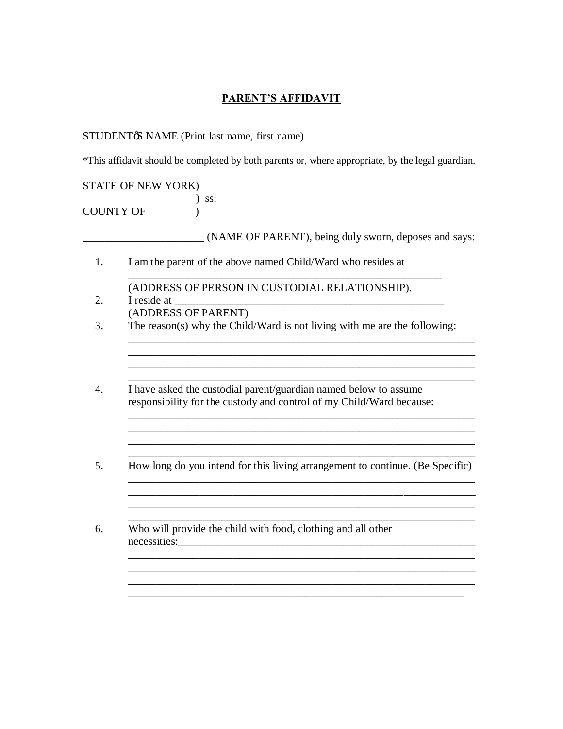## **PARENT'S AFFIDAVIT**

## STUDENT& NAME (Print last name, first name)

\*This affidavit should be completed by both parents or, where appropriate, by the legal guardian.

STATE OF NEW YORK) ) ss: COUNTY OF (1)

\_\_\_\_\_\_\_\_\_\_\_\_\_\_\_\_\_\_\_\_\_\_ (NAME OF PARENT), being duly sworn, deposes and says:

- 1. I am the parent of the above named Child/Ward who resides at
- (ADDRESS OF PERSON IN CUSTODIAL RELATIONSHIP). 2. I reside at (ADDRESS OF PARENT)
- 3. The reason(s) why the Child/Ward is not living with me are the following:

\_\_\_\_\_\_\_\_\_\_\_\_\_\_\_\_\_\_\_\_\_\_\_\_\_\_\_\_\_\_\_\_\_\_\_\_\_\_\_\_\_\_\_\_\_\_\_\_\_\_\_\_\_\_\_\_\_

\_\_\_\_\_\_\_\_\_\_\_\_\_\_\_\_\_\_\_\_\_\_\_\_\_\_\_\_\_\_\_\_\_\_\_\_\_\_\_\_\_\_\_\_\_\_\_\_\_\_\_\_\_\_\_\_\_\_\_\_\_\_\_ \_\_\_\_\_\_\_\_\_\_\_\_\_\_\_\_\_\_\_\_\_\_\_\_\_\_\_\_\_\_\_\_\_\_\_\_\_\_\_\_\_\_\_\_\_\_\_\_\_\_\_\_\_\_\_\_\_\_\_\_\_\_\_

\_\_\_\_\_\_\_\_\_\_\_\_\_\_\_\_\_\_\_\_\_\_\_\_\_\_\_\_\_\_\_\_\_\_\_\_\_\_\_\_\_\_\_\_\_\_\_\_\_\_\_\_\_\_\_\_\_\_\_\_\_\_\_

\_\_\_\_\_\_\_\_\_\_\_\_\_\_\_\_\_\_\_\_\_\_\_\_\_\_\_\_\_\_\_\_\_\_\_\_\_\_\_\_\_\_\_\_\_\_\_\_\_\_\_\_\_\_\_\_\_\_\_\_\_\_\_ \_\_\_\_\_\_\_\_\_\_\_\_\_\_\_\_\_\_\_\_\_\_\_\_\_\_\_\_\_\_\_\_\_\_\_\_\_\_\_\_\_\_\_\_\_\_\_\_\_\_\_\_\_\_\_\_\_\_\_\_\_\_\_ \_\_\_\_\_\_\_\_\_\_\_\_\_\_\_\_\_\_\_\_\_\_\_\_\_\_\_\_\_\_\_\_\_\_\_\_\_\_\_\_\_\_\_\_\_\_\_\_\_\_\_\_\_\_\_\_\_\_\_\_\_\_\_ \_\_\_\_\_\_\_\_\_\_\_\_\_\_\_\_\_\_\_\_\_\_\_\_\_\_\_\_\_\_\_\_\_\_\_\_\_\_\_\_\_\_\_\_\_\_\_\_\_\_\_\_\_\_\_\_\_\_\_\_\_\_\_

\_\_\_\_\_\_\_\_\_\_\_\_\_\_\_\_\_\_\_\_\_\_\_\_\_\_\_\_\_\_\_\_\_\_\_\_\_\_\_\_\_\_\_\_\_\_\_\_\_\_\_\_\_\_\_\_\_\_\_\_\_\_\_

\_\_\_\_\_\_\_\_\_\_\_\_\_\_\_\_\_\_\_\_\_\_\_\_\_\_\_\_\_\_\_\_\_\_\_\_\_\_\_\_\_\_\_\_\_\_\_\_\_\_\_\_\_\_\_\_\_\_\_\_\_\_\_

\_\_\_\_\_\_\_\_\_\_\_\_\_\_\_\_\_\_\_\_\_\_\_\_\_\_\_\_\_\_\_\_\_\_\_\_\_\_\_\_\_\_\_\_\_\_\_\_\_\_\_\_\_\_\_\_\_\_\_\_\_\_\_

\_\_\_\_\_\_\_\_\_\_\_\_\_\_\_\_\_\_\_\_\_\_\_\_\_\_\_\_\_\_\_\_\_\_\_\_\_\_\_\_\_\_\_\_\_\_\_\_\_\_\_\_\_\_\_\_\_\_\_\_\_\_\_

- 4. I have asked the custodial parent/guardian named below to assume responsibility for the custody and control of my Child/Ward because:
- 5. How long do you intend for this living arrangement to continue. (Be Specific)
- 6. Who will provide the child with food, clothing and all other necessities:\_\_\_\_\_\_\_\_\_\_\_\_\_\_\_\_\_\_\_\_\_\_\_\_\_\_\_\_\_\_\_\_\_\_\_\_\_\_\_\_\_\_\_\_\_\_\_\_\_\_\_\_\_\_